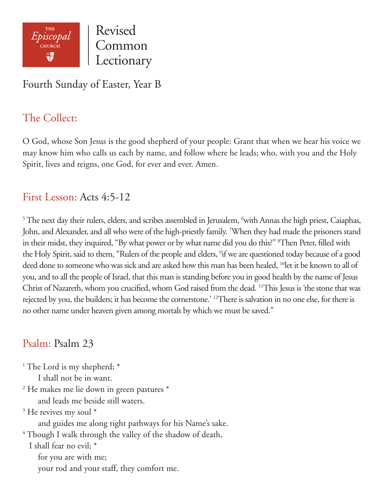

Revised Common Lectionary

## Fourth Sunday of Easter, Year B

# The Collect:

O God, whose Son Jesus is the good shepherd of your people: Grant that when we hear his voice we may know him who calls us each by name, and follow where he leads; who, with you and the Holy Spirit, lives and reigns, one God, for ever and ever. Amen.

#### First Lesson: Acts 4:5-12

 $5$  The next day their rulers, elders, and scribes assembled in Jerusalem,  $6$ with Annas the high priest, Caiaphas, John, and Alexander, and all who were of the high-priestly family. <sup>7</sup>When they had made the prisoners stand in their midst, they inquired, "By what power or by what name did you do this?" 8 Then Peter, filled with the Holy Spirit, said to them, "Rulers of the people and elders, <sup>9</sup>if we are questioned today because of a good deed done to someone who was sick and are asked how this man has been healed, <sup>10</sup>let it be known to all of you, and to all the people of Israel, that this man is standing before you in good health by the name of Jesus Christ of Nazareth, whom you crucified, whom God raised from the dead. 11This Jesus is 'the stone that was rejected by you, the builders; it has become the cornerstone.' 12There is salvation in no one else, for there is no other name under heaven given among mortals by which we must be saved."

#### Psalm: Psalm 23

<sup>1</sup> The Lord is my shepherd; \* I shall not be in want. 2 He makes me lie down in green pastures \* and leads me beside still waters. <sup>3</sup> He revives my soul \* and guides me along right pathways for his Name's sake. <sup>4</sup> Though I walk through the valley of the shadow of death, I shall fear no evil; \* for you are with me; your rod and your staff, they comfort me.